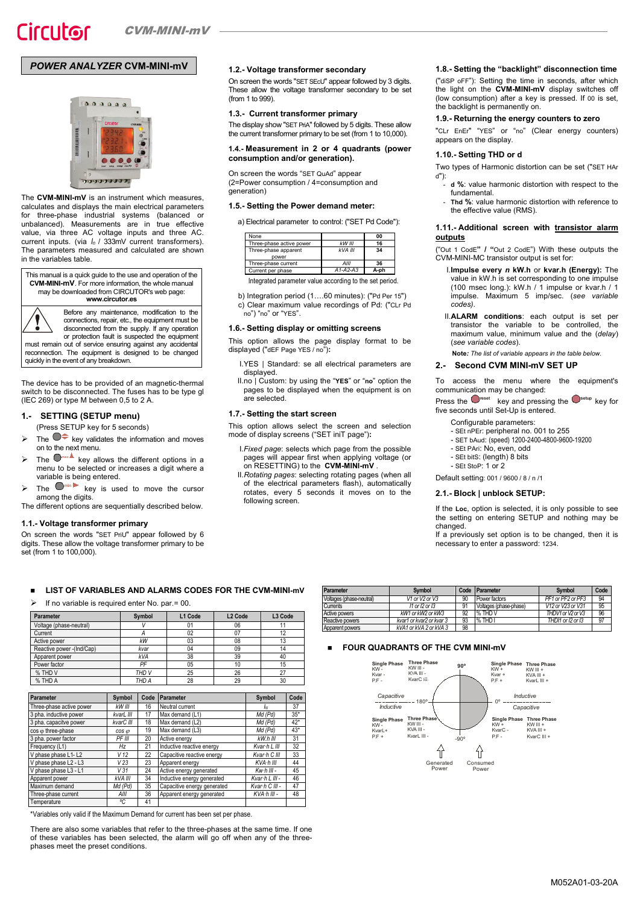# *POWER ANALYZER* **CVM-MINI-mV**



The **CVM-MINI-mV** is an instrument which measures, calculates and displays the main electrical parameters for three-phase industrial systems (balanced or unbalanced). Measurements are in true effective value, via three AC voltage inputs and three AC. current inputs. (via *In* / 333mV current transformers). The parameters measured and calculated are shown in the variables table.

This manual is a quick guide to the use and operation of the **CVM-MINI-mV**. For more information, the whole manual may be downloaded from CIRCUTOR's web page: **www.circutor.es**

Before any maintenance, modification to the connections, repair, etc., the equipment must be disconnected from the supply. If any operation or protection fault is suspected the equipment must remain out of service ensuring against any accidental reconnection. The equipment is designed to be changed quickly in the event of any breakdown.

The device has to be provided of an magnetic-thermal switch to be disconnected. The fuses has to be type gl (IEC 269) or type M between 0,5 to 2 A.

# **SETTING (SETUP menu)**

- (Press SETUP key for 5 seconds)
- The  $\bullet\bullet$  key validates the information and moves on to the next menu.
- $\triangleright$  The  $\bigcup_{m \in \mathbb{Z}}$  key allows the different options in a menu to be selected or increases a digit where a variable is being entered.
- $\triangleright$  The  $\blacksquare$ <sup>min</sup> key is used to move the cursor among the digits.
- The different options are sequentially described below.

## **1.1.- Voltage transformer primary**

On screen the words "SET PriU" appear followed by 6 digits. These allow the voltage transformer primary to be set (from 1 to 100,000).

## **1.2.- Voltage transformer secondary**

On screen the words "SET SEcU" appear followed by 3 digits. These allow the voltage transformer secondary to be set (from 1 to 999).

## **1.3.- Current transformer primary**

The display show "SET PriA" followed by 5 digits. These allow the current transformer primary to be set (from 1 to 10,000).

### **1.4.- Measurement in 2 or 4 quadrants (power consumption and/or generation).**

On screen the words "SET QuAd" appear (2=Power consumption / 4=consumption and generation)

### **1.5.- Setting the Power demand meter:**

a) Electrical parameter to control: ("SET Pd Code"):

| None                          |            | oo   |  |
|-------------------------------|------------|------|--|
| Three-phase active power      | kW III     | 16   |  |
| Three-phase apparent<br>power | kVA III    | 34   |  |
| Three-phase current           | AIII       | 36   |  |
| Current per phase             | $A1-A2-A3$ | A-ph |  |

| Integrated parameter value according to the set period. |  |
|---------------------------------------------------------|--|
|                                                         |  |

b) Integration period (1….60 minutes): ("Pd Per 15") c) Clear maximum value recordings of Pd: ("CLr Pd no") "no" or "YES".

#### **1.6.- Setting display or omitting screens**

This option allows the page display format to be displayed ("dEF Page YES / no")**:** 

- I.YES | Standard: se all electrical parameters are displayed.
- II.no | Custom: by using the "**YES**" or "**no**" option the pages to be displayed when the equipment is on are selected.

#### **1.7.- Setting the start screen**

This option allows select the screen and selection mode of display screens ("SET iniT page")**:** 

- I.*Fixed page*: selects which page from the possible pages will appear first when applying voltage (or on RESETTING) to the **CVM-MINI-mV** .
- II.*Rotating pages*: selecting rotating pages (when all of the electrical parameters flash), automatically rotates, every 5 seconds it moves on to the following screen.

### **1.8.- Setting the "backlight" disconnection time**

("diSP oFF"): Setting the time in seconds, after which the light on the **CVM-MINI-mV** display switches off (low consumption) after a key is pressed. If 00 is set, the backlight is permanently on.

### **1.9.- Returning the energy counters to zero**

"CLr EnEr" "YES" or "no" (Clear energy counters) appears on the display.

#### **1.10.- Setting THD or d**

Two types of Harmonic distortion can be set ("SET HAr d"):

- **d %**: value harmonic distortion with respect to the fundamental.
- Thd %: value harmonic distortion with reference to the effective value (RMS).

### **1.11.- Additional screen with transistor alarm outputs**

("Out 1 CodE**" / "**Out 2 CodE") With these outputs the CVM-MINI-MC transistor output is set for:

- I.**Impulse every** *n* **kW.h** or **kvar.h (Energy):** The value in kW.h is set corresponding to one impulse (100 msec long.): kW.h / 1 impulse or kvar.h / 1 impulse. Maximum 5 imp/sec. (*see variable codes)*.
- II.**ALARM conditions**: each output is set per transistor the variable to be controlled, the maximum value, minimum value and the (*delay*) (*see variable codes*).

**Note***: The list of variable appears in the table below.*

### **2.- Second CVM MINI-mV SET UP**

To access the menu where the equipment's communication may be changed:

Press the w<sup>reset</sup> key and pressing the w<sup>setup</sup> key for five seconds until Set-Up is entered.

Configurable parameters:

- SEt nPEr: peripheral no. 001 to 255
- SET bAud: (speed) 1200-2400-4800-9600-19200
- SEt PAri: No, even, odd
- SEt bitS: (length) 8 bits - SEt StoP: 1 or 2

Default setting: 001 / 9600 / 8 / n /1

#### **2.1.- Block | unblock SETUP:**

If the **Loc**, option is selected, it is only possible to see the setting on entering SETUP and nothing may be changed.

If a previously set option is to be changed, then it is necessary to enter a password: 1234.

#### **LIST OF VARIABLES AND ALARMS CODES FOR THE CVM-MINI-mV**

If no variable is required enter No. par.= 00.

| Parameter                 | Symbol           | L1 Code | L <sub>2</sub> Code | L <sub>3</sub> Code |
|---------------------------|------------------|---------|---------------------|---------------------|
| Voltage (phase-neutral)   |                  | 01      | 06                  |                     |
| Current                   |                  | 02      | 07                  |                     |
| Active power              | kW               | 03      | 08                  | 13                  |
| Reactive power -(Ind/Cap) | kvar             | 04      | 09                  | 14                  |
| Apparent power            | <b>kVA</b>       | 38      | 39                  | 40                  |
| Power factor              | PF               | 05      | 10                  | 15                  |
| % THD V                   | THD <sub>V</sub> | 25      | 26                  | 27                  |
| % THD A                   | THD A            | 28      | 29                  | 30                  |

| Parameter                | Symbol          | Code | Parameter                   | Symbol             | Code  |
|--------------------------|-----------------|------|-----------------------------|--------------------|-------|
| Three-phase active power | kW III          | 16   | Neutral current             | $I_N$              | 37    |
| 3 pha. inductive power   | kvarL III       | 17   | Max demand (L1)             | Md (Pd)            | $35*$ |
| 3 pha. capacitve power   | kvarC III       | 18   | Max demand (L2)             | Md (Pd)            | $42*$ |
| cos o three-phase        | $cos \varphi$   | 19   | Max demand (L3)             | Md (Pd)            | $43*$ |
| 3 pha. power factor      | PF III          | 20   | Active energy               | kW.h III           | 31    |
| Frequency (L1)           | Hz              | 21   | Inductive reactive energy   | Kvar h L III       | 32    |
| V phase phase L1-L2      | V <sub>12</sub> | 22   | Capacitive reactive energy  | Kvar h C III       | 33    |
| V phase phase L2 - L3    | V 23            | 23   | Apparent energy             | KVA h III          | 44    |
| V phase phase L3 - L1    | V.31            | 24   | Active energy generated     | $Kw \cdot h$ III - | 45    |
| Apparent power           | kVA III         | 34   | Inductive energy generated  | Kvar h L III -     | 46    |
| Maximum demand           | Md (Pd)         | 35   | Capacitive energy generated | Kvar h C III -     | 47    |
| Three-phase current      | AllI            | 36   | Apparent energy generated   | KVA h III -        | 48    |
| Temperature              | °C              | 41   |                             |                    |       |

\*Variables only valid if the Maximum Demand for current has been set per phase.

There are also some variables that refer to the three-phases at the same time. If one of these variables has been selected, the alarm will go off when any of the threephases meet the preset conditions.

| Parameter                | <b>Symbol</b>            | Code | <b>Parameter</b>       | <b>Symbol</b>     | Code |
|--------------------------|--------------------------|------|------------------------|-------------------|------|
| Voltages (phase-neutral) | V1 or V2 or V3           | 90   | Power factors          | PF1 or PF2 or PF3 | 94   |
| Currents                 | $11$ or $12$ or $13$     | 91   | Voltages (phase-phase) | V12 or V23 or V31 | 95   |
| Active powers            | kW1 or kW2 or kW3        | 92   | % THD V                | THDV1 or V2 or V3 | 96   |
| Reactive powers          | kvar1 or kvar2 or kvar 3 | 93   | $%$ THD I              | THDI1 or I2 or I3 | 97   |
| Apparent powers          | kVA1 or kVA 2 or kVA 3   | 98   |                        |                   |      |

## **FOUR QUADRANTS OF THE CVM MINI-mV**